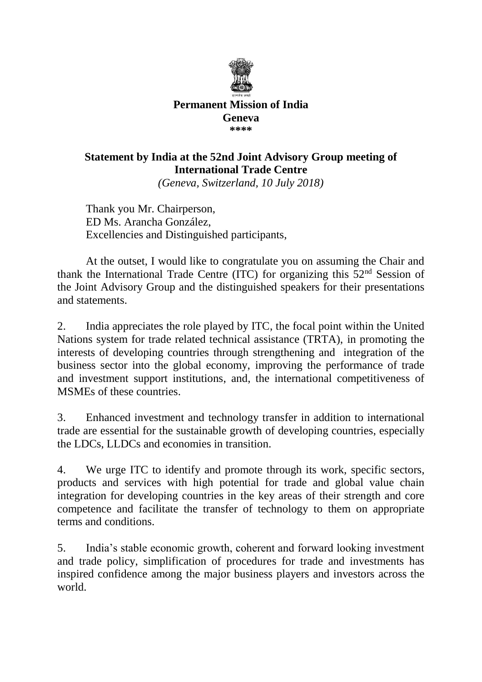

## **Permanent Mission of India Geneva \*\*\*\***

## **Statement by India at the 52nd Joint Advisory Group meeting of International Trade Centre**

*(Geneva, Switzerland, 10 July 2018)*

Thank you Mr. Chairperson, ED Ms. Arancha González, Excellencies and Distinguished participants,

At the outset, I would like to congratulate you on assuming the Chair and thank the International Trade Centre (ITC) for organizing this  $52<sup>nd</sup>$  Session of the Joint Advisory Group and the distinguished speakers for their presentations and statements.

2. India appreciates the role played by ITC, the focal point within the United Nations system for trade related technical assistance (TRTA), in promoting the interests of developing countries through strengthening and integration of the business sector into the global economy, improving the performance of trade and investment support institutions, and, the international competitiveness of MSMEs of these countries.

3. Enhanced investment and technology transfer in addition to international trade are essential for the sustainable growth of developing countries, especially the LDCs, LLDCs and economies in transition.

4. We urge ITC to identify and promote through its work, specific sectors, products and services with high potential for trade and global value chain integration for developing countries in the key areas of their strength and core competence and facilitate the transfer of technology to them on appropriate terms and conditions.

5. India's stable economic growth, coherent and forward looking investment and trade policy, simplification of procedures for trade and investments has inspired confidence among the major business players and investors across the world.